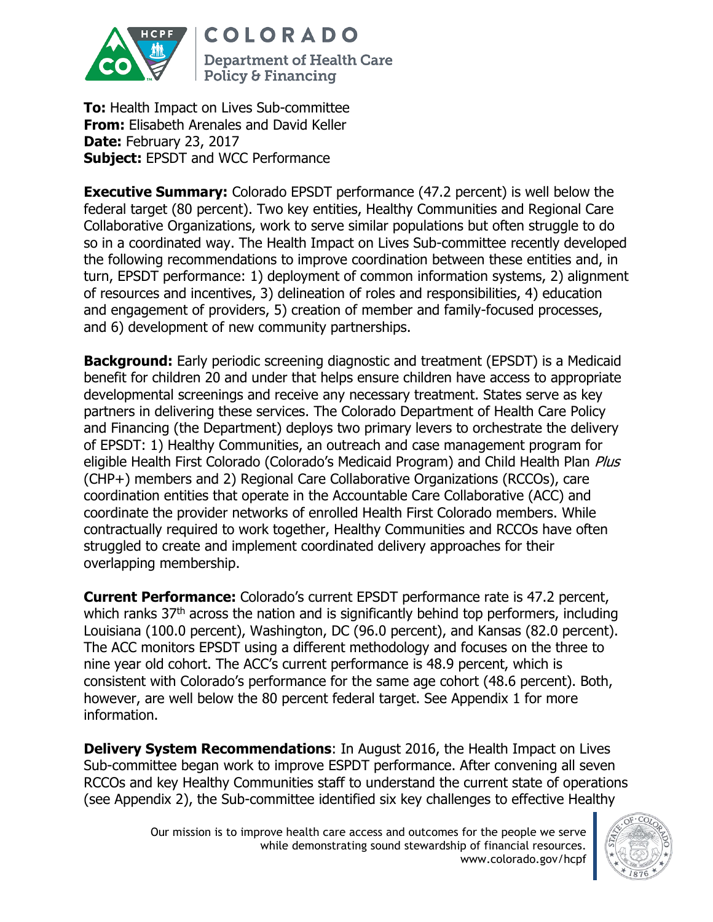

**COLORADO** 

**Department of Health Care Policy & Financing** 

**To:** Health Impact on Lives Sub-committee **From:** Elisabeth Arenales and David Keller **Date:** February 23, 2017 **Subject: EPSDT and WCC Performance** 

**Executive Summary:** Colorado EPSDT performance (47.2 percent) is well below the federal target (80 percent). Two key entities, Healthy Communities and Regional Care Collaborative Organizations, work to serve similar populations but often struggle to do so in a coordinated way. The Health Impact on Lives Sub-committee recently developed the following recommendations to improve coordination between these entities and, in turn, EPSDT performance: 1) deployment of common information systems, 2) alignment of resources and incentives, 3) delineation of roles and responsibilities, 4) education and engagement of providers, 5) creation of member and family-focused processes, and 6) development of new community partnerships.

**Background:** Early periodic screening diagnostic and treatment (EPSDT) is a Medicaid benefit for children 20 and under that helps ensure children have access to appropriate developmental screenings and receive any necessary treatment. States serve as key partners in delivering these services. The Colorado Department of Health Care Policy and Financing (the Department) deploys two primary levers to orchestrate the delivery of EPSDT: 1) Healthy Communities, an outreach and case management program for eligible Health First Colorado (Colorado's Medicaid Program) and Child Health Plan Plus (CHP+) members and 2) Regional Care Collaborative Organizations (RCCOs), care coordination entities that operate in the Accountable Care Collaborative (ACC) and coordinate the provider networks of enrolled Health First Colorado members. While contractually required to work together, Healthy Communities and RCCOs have often struggled to create and implement coordinated delivery approaches for their overlapping membership.

**Current Performance:** Colorado's current EPSDT performance rate is 47.2 percent, which ranks 37<sup>th</sup> across the nation and is significantly behind top performers, including Louisiana (100.0 percent), Washington, DC (96.0 percent), and Kansas (82.0 percent). The ACC monitors EPSDT using a different methodology and focuses on the three to nine year old cohort. The ACC's current performance is 48.9 percent, which is consistent with Colorado's performance for the same age cohort (48.6 percent). Both, however, are well below the 80 percent federal target. See Appendix 1 for more information.

**Delivery System Recommendations**: In August 2016, the Health Impact on Lives Sub-committee began work to improve ESPDT performance. After convening all seven RCCOs and key Healthy Communities staff to understand the current state of operations (see Appendix 2), the Sub-committee identified six key challenges to effective Healthy

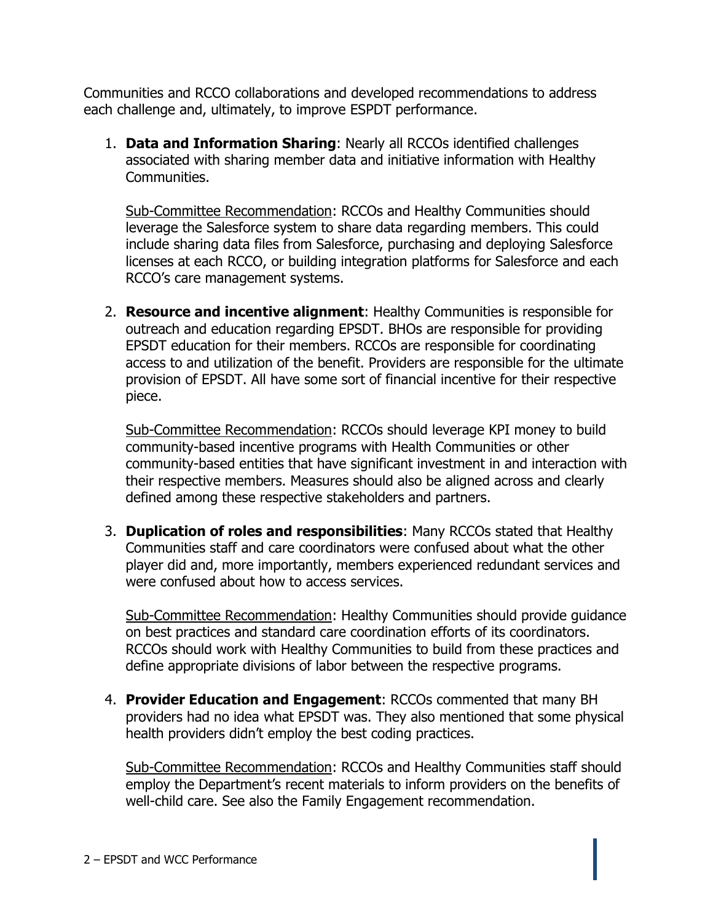Communities and RCCO collaborations and developed recommendations to address each challenge and, ultimately, to improve ESPDT performance.

1. **Data and Information Sharing**: Nearly all RCCOs identified challenges associated with sharing member data and initiative information with Healthy Communities.

Sub-Committee Recommendation: RCCOs and Healthy Communities should leverage the Salesforce system to share data regarding members. This could include sharing data files from Salesforce, purchasing and deploying Salesforce licenses at each RCCO, or building integration platforms for Salesforce and each RCCO's care management systems.

2. **Resource and incentive alignment**: Healthy Communities is responsible for outreach and education regarding EPSDT. BHOs are responsible for providing EPSDT education for their members. RCCOs are responsible for coordinating access to and utilization of the benefit. Providers are responsible for the ultimate provision of EPSDT. All have some sort of financial incentive for their respective piece.

Sub-Committee Recommendation: RCCOs should leverage KPI money to build community-based incentive programs with Health Communities or other community-based entities that have significant investment in and interaction with their respective members. Measures should also be aligned across and clearly defined among these respective stakeholders and partners.

3. **Duplication of roles and responsibilities**: Many RCCOs stated that Healthy Communities staff and care coordinators were confused about what the other player did and, more importantly, members experienced redundant services and were confused about how to access services.

Sub-Committee Recommendation: Healthy Communities should provide guidance on best practices and standard care coordination efforts of its coordinators. RCCOs should work with Healthy Communities to build from these practices and define appropriate divisions of labor between the respective programs.

4. **Provider Education and Engagement**: RCCOs commented that many BH providers had no idea what EPSDT was. They also mentioned that some physical health providers didn't employ the best coding practices.

Sub-Committee Recommendation: RCCOs and Healthy Communities staff should employ the Department's recent materials to inform providers on the benefits of well-child care. See also the Family Engagement recommendation.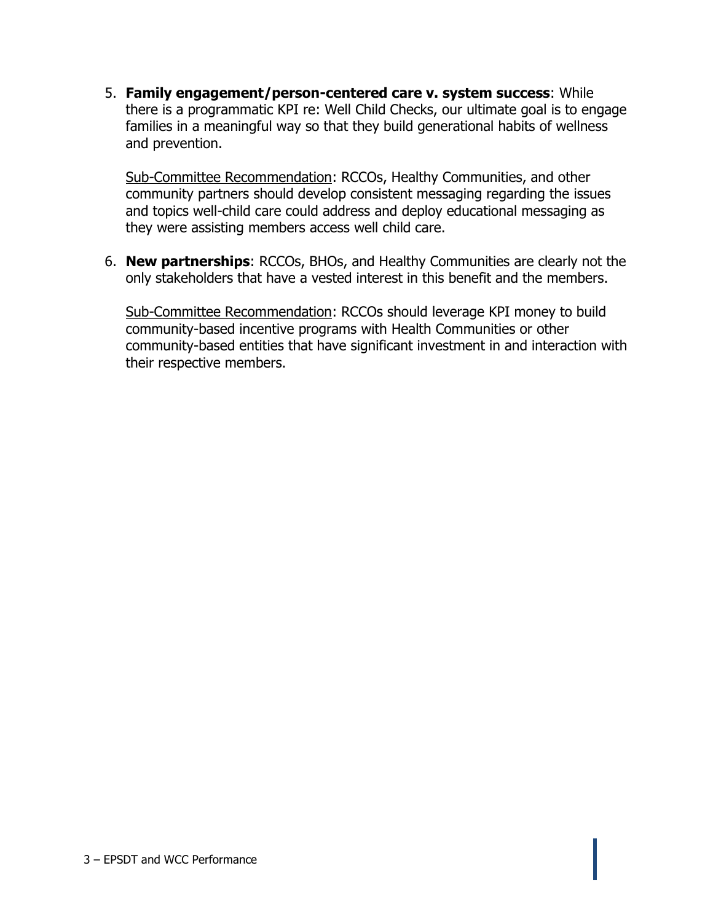5. **Family engagement/person-centered care v. system success**: While there is a programmatic KPI re: Well Child Checks, our ultimate goal is to engage families in a meaningful way so that they build generational habits of wellness and prevention.

Sub-Committee Recommendation: RCCOs, Healthy Communities, and other community partners should develop consistent messaging regarding the issues and topics well-child care could address and deploy educational messaging as they were assisting members access well child care.

6. **New partnerships**: RCCOs, BHOs, and Healthy Communities are clearly not the only stakeholders that have a vested interest in this benefit and the members.

Sub-Committee Recommendation: RCCOs should leverage KPI money to build community-based incentive programs with Health Communities or other community-based entities that have significant investment in and interaction with their respective members.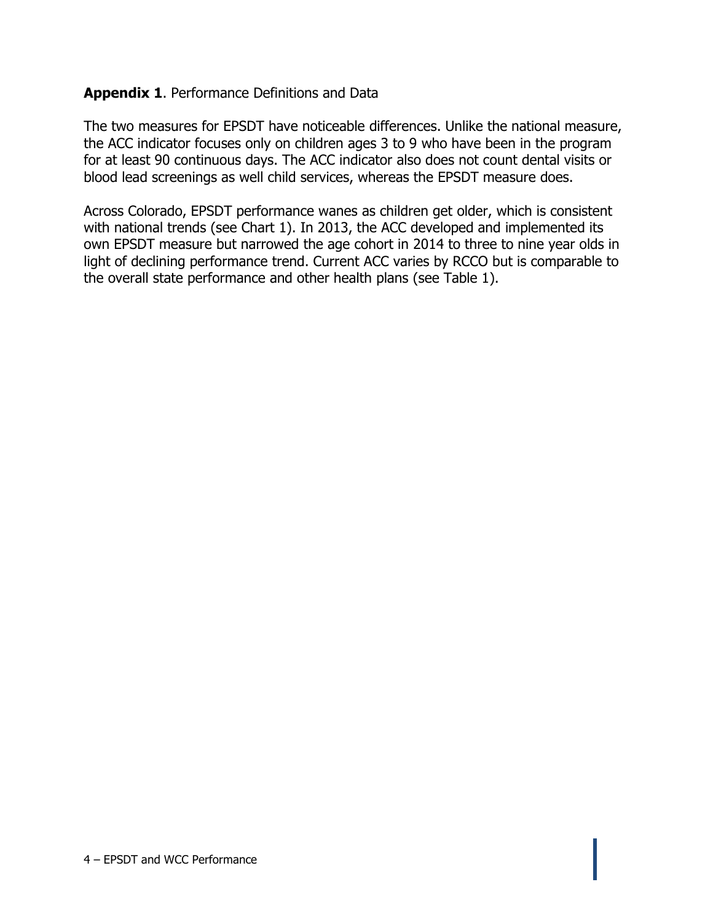## **Appendix 1**. Performance Definitions and Data

The two measures for EPSDT have noticeable differences. Unlike the national measure, the ACC indicator focuses only on children ages 3 to 9 who have been in the program for at least 90 continuous days. The ACC indicator also does not count dental visits or blood lead screenings as well child services, whereas the EPSDT measure does.

Across Colorado, EPSDT performance wanes as children get older, which is consistent with national trends (see Chart 1). In 2013, the ACC developed and implemented its own EPSDT measure but narrowed the age cohort in 2014 to three to nine year olds in light of declining performance trend. Current ACC varies by RCCO but is comparable to the overall state performance and other health plans (see Table 1).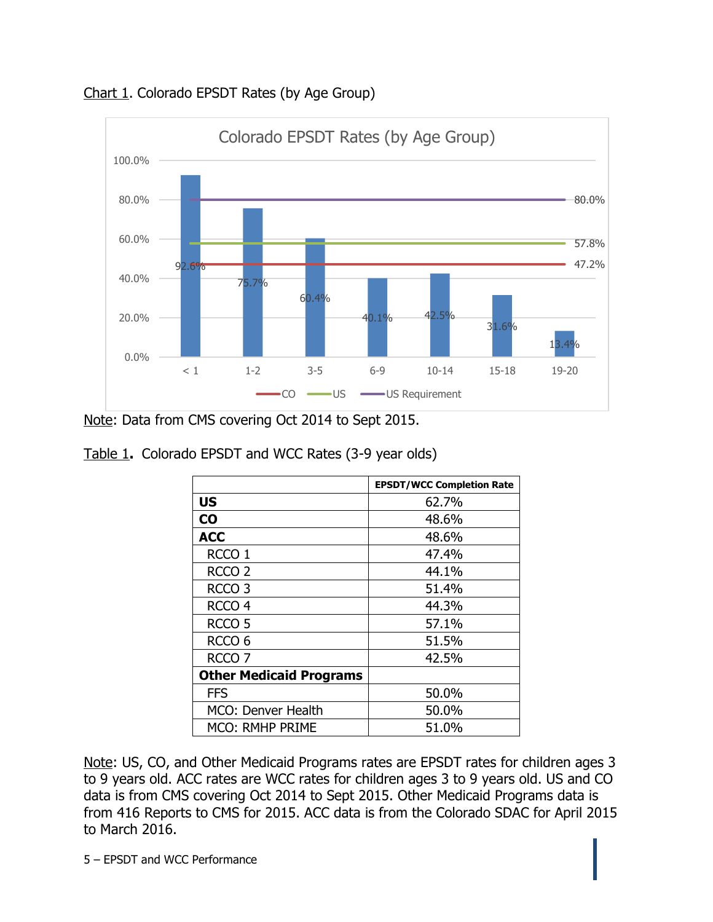

Chart 1. Colorado EPSDT Rates (by Age Group)

Note: Data from CMS covering Oct 2014 to Sept 2015.

| Table 1. Colorado EPSDT and WCC Rates (3-9 year olds) |  |  |
|-------------------------------------------------------|--|--|
|                                                       |  |  |

|                                | <b>EPSDT/WCC Completion Rate</b> |
|--------------------------------|----------------------------------|
| <b>US</b>                      | 62.7%                            |
| $\bf{CO}$                      | 48.6%                            |
| <b>ACC</b>                     | 48.6%                            |
| RCCO <sub>1</sub>              | 47.4%                            |
| RCCO <sub>2</sub>              | 44.1%                            |
| RCCO <sub>3</sub>              | 51.4%                            |
| RCCO <sub>4</sub>              | 44.3%                            |
| RCCO <sub>5</sub>              | 57.1%                            |
| RCCO <sub>6</sub>              | 51.5%                            |
| RCCO <sub>7</sub>              | 42.5%                            |
| <b>Other Medicaid Programs</b> |                                  |
| <b>FFS</b>                     | 50.0%                            |
| MCO: Denver Health             | 50.0%                            |
| <b>MCO: RMHP PRIME</b>         | 51.0%                            |

Note: US, CO, and Other Medicaid Programs rates are EPSDT rates for children ages 3 to 9 years old. ACC rates are WCC rates for children ages 3 to 9 years old. US and CO data is from CMS covering Oct 2014 to Sept 2015. Other Medicaid Programs data is from 416 Reports to CMS for 2015. ACC data is from the Colorado SDAC for April 2015 to March 2016.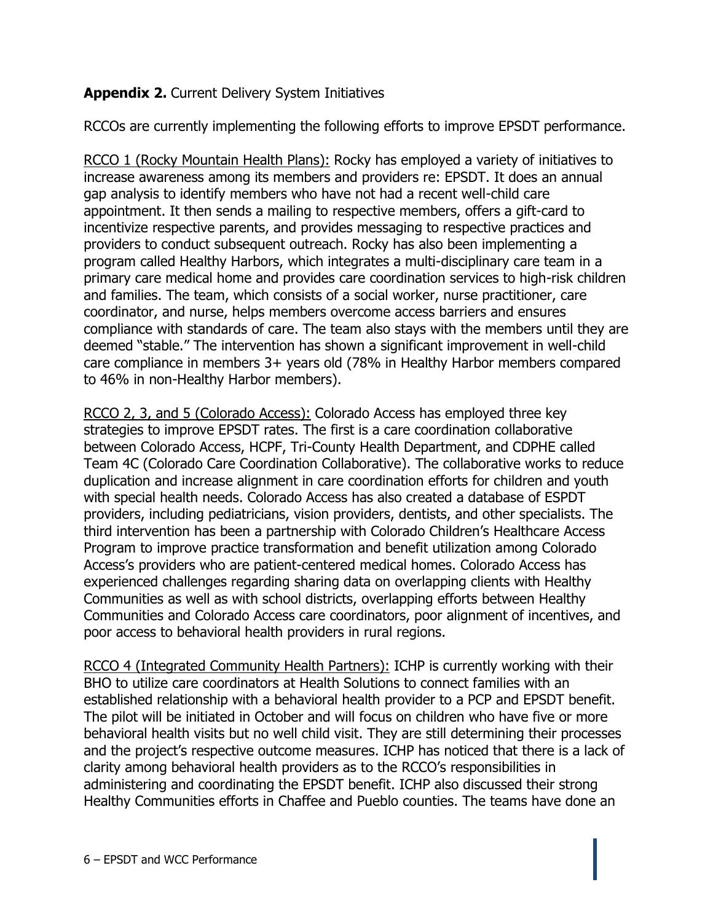## **Appendix 2.** Current Delivery System Initiatives

RCCOs are currently implementing the following efforts to improve EPSDT performance.

RCCO 1 (Rocky Mountain Health Plans): Rocky has employed a variety of initiatives to increase awareness among its members and providers re: EPSDT. It does an annual gap analysis to identify members who have not had a recent well-child care appointment. It then sends a mailing to respective members, offers a gift-card to incentivize respective parents, and provides messaging to respective practices and providers to conduct subsequent outreach. Rocky has also been implementing a program called Healthy Harbors, which integrates a multi-disciplinary care team in a primary care medical home and provides care coordination services to high-risk children and families. The team, which consists of a social worker, nurse practitioner, care coordinator, and nurse, helps members overcome access barriers and ensures compliance with standards of care. The team also stays with the members until they are deemed "stable." The intervention has shown a significant improvement in well-child care compliance in members 3+ years old (78% in Healthy Harbor members compared to 46% in non-Healthy Harbor members).

RCCO 2, 3, and 5 (Colorado Access): Colorado Access has employed three key strategies to improve EPSDT rates. The first is a care coordination collaborative between Colorado Access, HCPF, Tri-County Health Department, and CDPHE called Team 4C (Colorado Care Coordination Collaborative). The collaborative works to reduce duplication and increase alignment in care coordination efforts for children and youth with special health needs. Colorado Access has also created a database of ESPDT providers, including pediatricians, vision providers, dentists, and other specialists. The third intervention has been a partnership with Colorado Children's Healthcare Access Program to improve practice transformation and benefit utilization among Colorado Access's providers who are patient-centered medical homes. Colorado Access has experienced challenges regarding sharing data on overlapping clients with Healthy Communities as well as with school districts, overlapping efforts between Healthy Communities and Colorado Access care coordinators, poor alignment of incentives, and poor access to behavioral health providers in rural regions.

RCCO 4 (Integrated Community Health Partners): ICHP is currently working with their BHO to utilize care coordinators at Health Solutions to connect families with an established relationship with a behavioral health provider to a PCP and EPSDT benefit. The pilot will be initiated in October and will focus on children who have five or more behavioral health visits but no well child visit. They are still determining their processes and the project's respective outcome measures. ICHP has noticed that there is a lack of clarity among behavioral health providers as to the RCCO's responsibilities in administering and coordinating the EPSDT benefit. ICHP also discussed their strong Healthy Communities efforts in Chaffee and Pueblo counties. The teams have done an